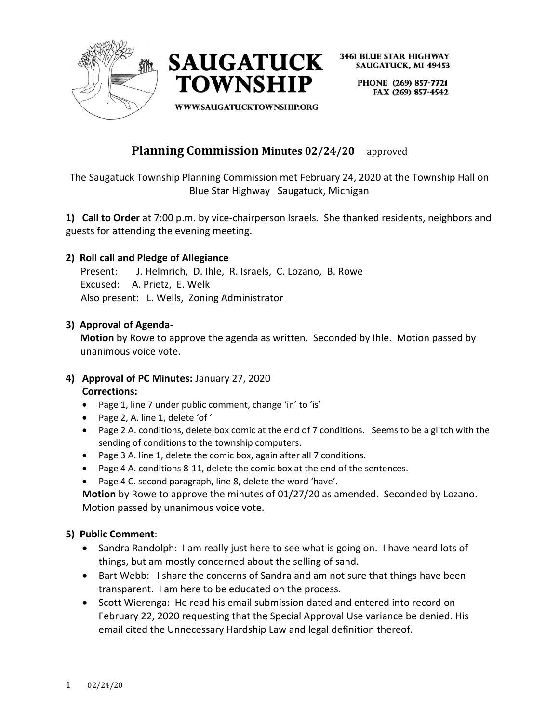



> PHONE (269) 857-7721 FAX (269) 857-4542

WWW.SAUGATUCKTOWNSHIP.ORG

# **Planning Commission Minutes 02/24/20** approved

The Saugatuck Township Planning Commission met February 24, 2020 at the Township Hall on Blue Star Highway Saugatuck, Michigan

**1) Call to Order** at 7:00 p.m. by vice-chairperson Israels. She thanked residents, neighbors and guests for attending the evening meeting.

#### **2) Roll call and Pledge of Allegiance**

 Present: J. Helmrich, D. Ihle, R. Israels, C. Lozano, B. Rowe Excused: A. Prietz, E. Welk Also present: L. Wells, Zoning Administrator

#### **3) Approval of Agenda-**

**Motion** by Rowe to approve the agenda as written. Seconded by Ihle. Motion passed by unanimous voice vote.

- **4) Approval of PC Minutes:** January 27, 2020 **Corrections:**
	- Page 1, line 7 under public comment, change 'in' to 'is'
	- Page 2, A. line 1, delete 'of '
	- Page 2 A. conditions, delete box comic at the end of 7 conditions. Seems to be a glitch with the sending of conditions to the township computers.
	- Page 3 A. line 1, delete the comic box, again after all 7 conditions.
	- Page 4 A. conditions 8-11, delete the comic box at the end of the sentences.
	- Page 4 C. second paragraph, line 8, delete the word 'have'.

**Motion** by Rowe to approve the minutes of 01/27/20 as amended. Seconded by Lozano. Motion passed by unanimous voice vote.

#### **5) Public Comment**:

- Sandra Randolph: I am really just here to see what is going on. I have heard lots of things, but am mostly concerned about the selling of sand.
- Bart Webb: I share the concerns of Sandra and am not sure that things have been transparent. I am here to be educated on the process.
- Scott Wierenga: He read his email submission dated and entered into record on February 22, 2020 requesting that the Special Approval Use variance be denied. His email cited the Unnecessary Hardship Law and legal definition thereof.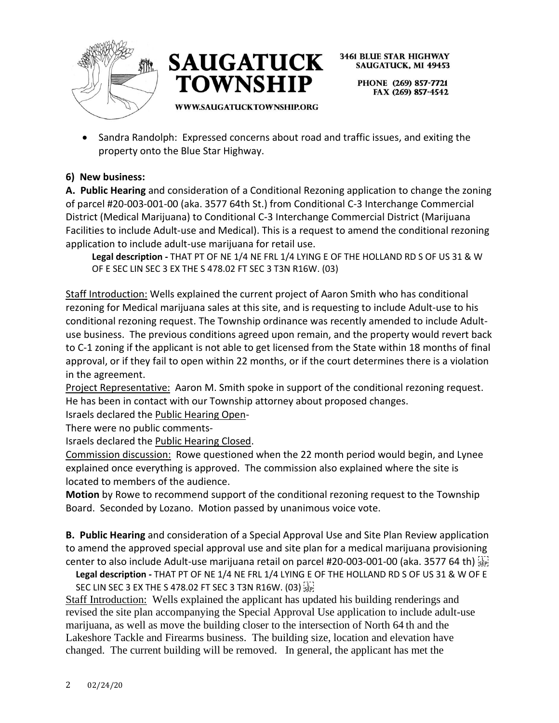



> PHONE (269) 857-7721 FAX (269) 857-4542

**WWW.SAUGATUCKTOWNSHIP.ORG** 

• Sandra Randolph: Expressed concerns about road and traffic issues, and exiting the property onto the Blue Star Highway.

## **6) New business:**

**A. Public Hearing** and consideration of a Conditional Rezoning application to change the zoning of parcel #20-003-001-00 (aka. 3577 64th St.) from Conditional C-3 Interchange Commercial District (Medical Marijuana) to Conditional C-3 Interchange Commercial District (Marijuana Facilities to include Adult-use and Medical). This is a request to amend the conditional rezoning application to include adult-use marijuana for retail use.

**Legal description -** THAT PT OF NE 1/4 NE FRL 1/4 LYING E OF THE HOLLAND RD S OF US 31 & W OF E SEC LIN SEC 3 EX THE S 478.02 FT SEC 3 T3N R16W. (03)

Staff Introduction: Wells explained the current project of Aaron Smith who has conditional rezoning for Medical marijuana sales at this site, and is requesting to include Adult-use to his conditional rezoning request. The Township ordinance was recently amended to include Adultuse business. The previous conditions agreed upon remain, and the property would revert back to C-1 zoning if the applicant is not able to get licensed from the State within 18 months of final approval, or if they fail to open within 22 months, or if the court determines there is a violation in the agreement.

Project Representative: Aaron M. Smith spoke in support of the conditional rezoning request. He has been in contact with our Township attorney about proposed changes.

Israels declared the Public Hearing Open-

There were no public comments-

Israels declared the Public Hearing Closed.

Commission discussion: Rowe questioned when the 22 month period would begin, and Lynee explained once everything is approved. The commission also explained where the site is located to members of the audience.

**Motion** by Rowe to recommend support of the conditional rezoning request to the Township Board. Seconded by Lozano. Motion passed by unanimous voice vote.

**B. Public Hearing** and consideration of a Special Approval Use and Site Plan Review application to amend the approved special approval use and site plan for a medical marijuana provisioning center to also include Adult-use marijuana retail on parcel #20-003-001-00 (aka. 3577 64 th)

**Legal description -** THAT PT OF NE 1/4 NE FRL 1/4 LYING E OF THE HOLLAND RD S OF US 31 & W OF E SEC LIN SEC 3 EX THE S 478.02 FT SEC 3 T3N R16W. (03)

Staff Introduction: Wells explained the applicant has updated his building renderings and revised the site plan accompanying the Special Approval Use application to include adult-use marijuana, as well as move the building closer to the intersection of North 64 th and the Lakeshore Tackle and Firearms business. The building size, location and elevation have changed. The current building will be removed. In general, the applicant has met the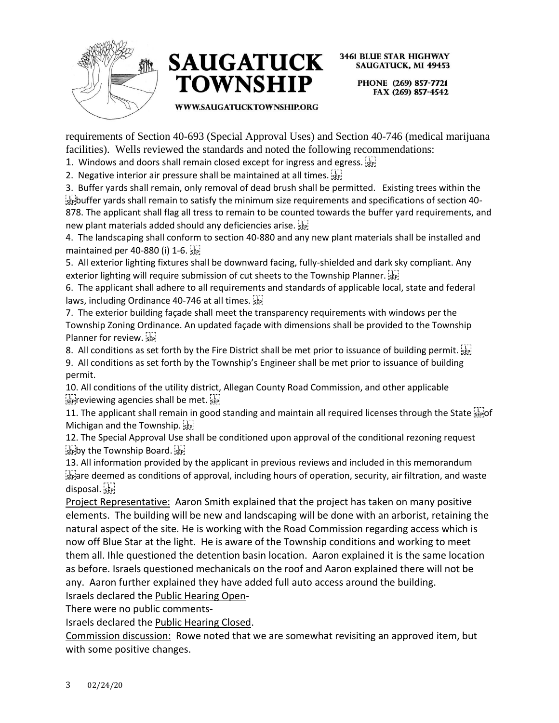



> PHONE (269) 857-7721 FAX (269) 857-4542

**WWW.SAUGATUCKTOWNSHIP.ORG** 

requirements of Section 40-693 (Special Approval Uses) and Section 40-746 (medical marijuana facilities). Wells reviewed the standards and noted the following recommendations:

1. Windows and doors shall remain closed except for ingress and egress. SEP!

2. Negative interior air pressure shall be maintained at all times.

3. Buffer yards shall remain, only removal of dead brush shall be permitted. Existing trees within the  $\frac{1}{2}$ buffer yards shall remain to satisfy the minimum size requirements and specifications of section 40-878. The applicant shall flag all tress to remain to be counted towards the buffer yard requirements, and new plant materials added should any deficiencies arise.

4. The landscaping shall conform to section 40-880 and any new plant materials shall be installed and maintained per 40-880 (i)  $1-6$ .

5. All exterior lighting fixtures shall be downward facing, fully-shielded and dark sky compliant. Any exterior lighting will require submission of cut sheets to the Township Planner. [17]

6. The applicant shall adhere to all requirements and standards of applicable local, state and federal laws, including Ordinance 40-746 at all times.

7. The exterior building façade shall meet the transparency requirements with windows per the Township Zoning Ordinance. An updated façade with dimensions shall be provided to the Township Planner for review.

8. All conditions as set forth by the Fire District shall be met prior to issuance of building permit.  $\frac{1}{2}$ 9. All conditions as set forth by the Township's Engineer shall be met prior to issuance of building permit.

10. All conditions of the utility district, Allegan County Road Commission, and other applicable  $\frac{1}{25}$ reviewing agencies shall be met.  $\frac{1}{25}$ 

11. The applicant shall remain in good standing and maintain all required licenses through the State steps Michigan and the Township.

12. The Special Approval Use shall be conditioned upon approval of the conditional rezoning request  $\sum_{s \in P}$ by the Township Board.  $\sum_{s \in P}$ 

13. All information provided by the applicant in previous reviews and included in this memorandum  $\frac{1}{2}$  are deemed as conditions of approval, including hours of operation, security, air filtration, and waste disposal.

Project Representative: Aaron Smith explained that the project has taken on many positive elements. The building will be new and landscaping will be done with an arborist, retaining the natural aspect of the site. He is working with the Road Commission regarding access which is now off Blue Star at the light. He is aware of the Township conditions and working to meet them all. Ihle questioned the detention basin location. Aaron explained it is the same location as before. Israels questioned mechanicals on the roof and Aaron explained there will not be any. Aaron further explained they have added full auto access around the building. Israels declared the Public Hearing Open-

There were no public comments-

Israels declared the Public Hearing Closed.

Commission discussion: Rowe noted that we are somewhat revisiting an approved item, but with some positive changes.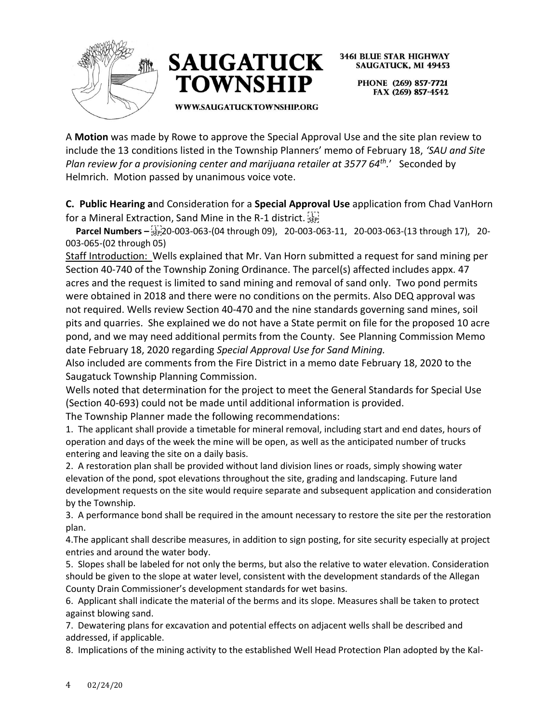



> PHONE (269) 857-7721 FAX (269) 857-4542

WWW.SAUGATUCKTOWNSHIP.ORG

A **Motion** was made by Rowe to approve the Special Approval Use and the site plan review to include the 13 conditions listed in the Township Planners' memo of February 18, *'SAU and Site Plan review for a provisioning center and marijuana retailer at 3577 64th .*' Seconded by Helmrich. Motion passed by unanimous voice vote.

**C. Public Hearing a**nd Consideration for a **Special Approval Use** application from Chad VanHorn for a Mineral Extraction, Sand Mine in the R-1 district. see

**Parcel Numbers –** 20-003-063-(04 through 09), 20-003-063-11, 20-003-063-(13 through 17), 20- 003-065-(02 through 05)

Staff Introduction: Wells explained that Mr. Van Horn submitted a request for sand mining per Section 40-740 of the Township Zoning Ordinance. The parcel(s) affected includes appx. 47 acres and the request is limited to sand mining and removal of sand only. Two pond permits were obtained in 2018 and there were no conditions on the permits. Also DEQ approval was not required. Wells review Section 40-470 and the nine standards governing sand mines, soil pits and quarries. She explained we do not have a State permit on file for the proposed 10 acre pond, and we may need additional permits from the County. See Planning Commission Memo date February 18, 2020 regarding *Special Approval Use for Sand Mining.*

Also included are comments from the Fire District in a memo date February 18, 2020 to the Saugatuck Township Planning Commission.

Wells noted that determination for the project to meet the General Standards for Special Use (Section 40-693) could not be made until additional information is provided.

The Township Planner made the following recommendations:

1. The applicant shall provide a timetable for mineral removal, including start and end dates, hours of operation and days of the week the mine will be open, as well as the anticipated number of trucks entering and leaving the site on a daily basis.

2. A restoration plan shall be provided without land division lines or roads, simply showing water elevation of the pond, spot elevations throughout the site, grading and landscaping. Future land development requests on the site would require separate and subsequent application and consideration by the Township.

3. A performance bond shall be required in the amount necessary to restore the site per the restoration plan.

4.The applicant shall describe measures, in addition to sign posting, for site security especially at project entries and around the water body.

5. Slopes shall be labeled for not only the berms, but also the relative to water elevation. Consideration should be given to the slope at water level, consistent with the development standards of the Allegan County Drain Commissioner's development standards for wet basins.

6. Applicant shall indicate the material of the berms and its slope. Measures shall be taken to protect against blowing sand.

7. Dewatering plans for excavation and potential effects on adjacent wells shall be described and addressed, if applicable.

8. Implications of the mining activity to the established Well Head Protection Plan adopted by the Kal-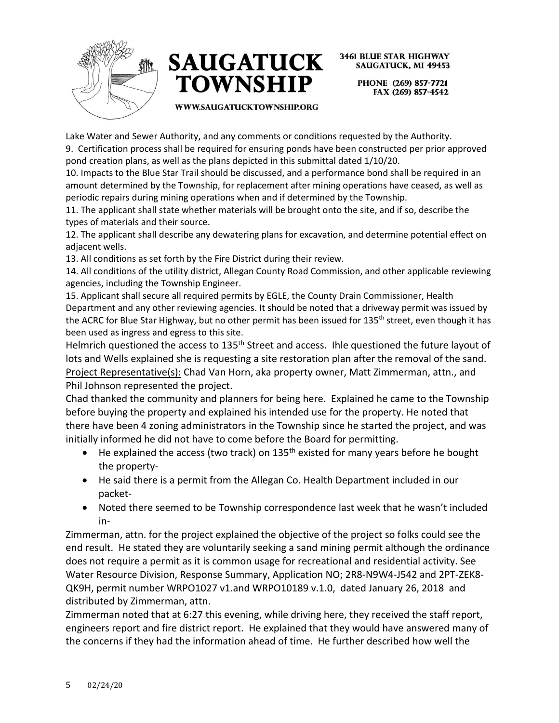



> PHONE (269) 857-7721 FAX (269) 857-4542

#### WWW.SAUGATUCKTOWNSHIP.ORG

Lake Water and Sewer Authority, and any comments or conditions requested by the Authority. 9. Certification process shall be required for ensuring ponds have been constructed per prior approved pond creation plans, as well as the plans depicted in this submittal dated 1/10/20.

10. Impacts to the Blue Star Trail should be discussed, and a performance bond shall be required in an amount determined by the Township, for replacement after mining operations have ceased, as well as periodic repairs during mining operations when and if determined by the Township.

11. The applicant shall state whether materials will be brought onto the site, and if so, describe the types of materials and their source.

12. The applicant shall describe any dewatering plans for excavation, and determine potential effect on adjacent wells.

13. All conditions as set forth by the Fire District during their review.

14. All conditions of the utility district, Allegan County Road Commission, and other applicable reviewing agencies, including the Township Engineer.

15. Applicant shall secure all required permits by EGLE, the County Drain Commissioner, Health Department and any other reviewing agencies. It should be noted that a driveway permit was issued by the ACRC for Blue Star Highway, but no other permit has been issued for 135<sup>th</sup> street, even though it has been used as ingress and egress to this site.

Helmrich questioned the access to 135<sup>th</sup> Street and access. Ihle questioned the future layout of lots and Wells explained she is requesting a site restoration plan after the removal of the sand. Project Representative(s): Chad Van Horn, aka property owner, Matt Zimmerman, attn., and Phil Johnson represented the project.

Chad thanked the community and planners for being here. Explained he came to the Township before buying the property and explained his intended use for the property. He noted that there have been 4 zoning administrators in the Township since he started the project, and was initially informed he did not have to come before the Board for permitting.

- He explained the access (two track) on 135<sup>th</sup> existed for many years before he bought the property-
- He said there is a permit from the Allegan Co. Health Department included in our packet-
- Noted there seemed to be Township correspondence last week that he wasn't included in-

Zimmerman, attn. for the project explained the objective of the project so folks could see the end result. He stated they are voluntarily seeking a sand mining permit although the ordinance does not require a permit as it is common usage for recreational and residential activity. See Water Resource Division, Response Summary, Application NO; 2R8-N9W4-J542 and 2PT-ZEK8- QK9H, permit number WRPO1027 v1.and WRPO10189 v.1.0, dated January 26, 2018 and distributed by Zimmerman, attn.

Zimmerman noted that at 6:27 this evening, while driving here, they received the staff report, engineers report and fire district report. He explained that they would have answered many of the concerns if they had the information ahead of time. He further described how well the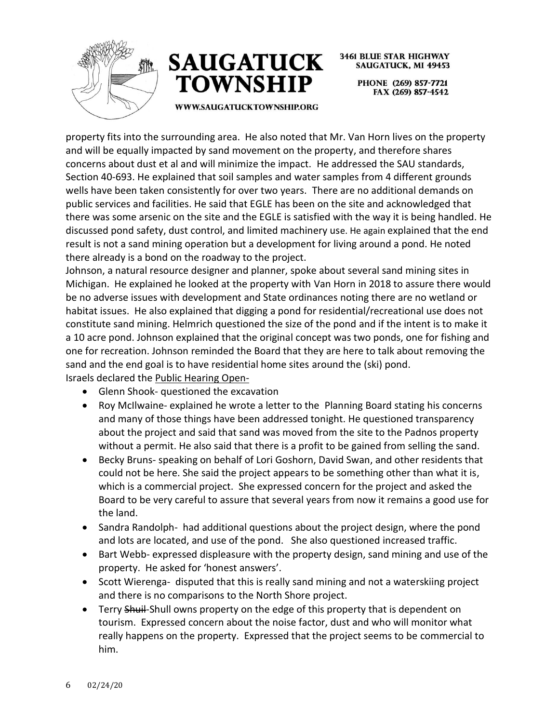



**3461 BLUE STAR HIGHWAY SAUGATUCK, MI 49453** PHONE (269) 857-7721 FAX (269) 857-4542

WWW.SAUGATUCKTOWNSHIP.ORG

property fits into the surrounding area. He also noted that Mr. Van Horn lives on the property and will be equally impacted by sand movement on the property, and therefore shares concerns about dust et al and will minimize the impact. He addressed the SAU standards, Section 40-693. He explained that soil samples and water samples from 4 different grounds wells have been taken consistently for over two years. There are no additional demands on public services and facilities. He said that EGLE has been on the site and acknowledged that there was some arsenic on the site and the EGLE is satisfied with the way it is being handled. He discussed pond safety, dust control, and limited machinery use. He again explained that the end result is not a sand mining operation but a development for living around a pond. He noted there already is a bond on the roadway to the project.

Johnson, a natural resource designer and planner, spoke about several sand mining sites in Michigan. He explained he looked at the property with Van Horn in 2018 to assure there would be no adverse issues with development and State ordinances noting there are no wetland or habitat issues. He also explained that digging a pond for residential/recreational use does not constitute sand mining. Helmrich questioned the size of the pond and if the intent is to make it a 10 acre pond. Johnson explained that the original concept was two ponds, one for fishing and one for recreation. Johnson reminded the Board that they are here to talk about removing the sand and the end goal is to have residential home sites around the (ski) pond. Israels declared the Public Hearing Open-

- Glenn Shook- questioned the excavation
- Roy McIlwaine- explained he wrote a letter to the Planning Board stating his concerns and many of those things have been addressed tonight. He questioned transparency about the project and said that sand was moved from the site to the Padnos property without a permit. He also said that there is a profit to be gained from selling the sand.
- Becky Bruns- speaking on behalf of Lori Goshorn, David Swan, and other residents that could not be here. She said the project appears to be something other than what it is, which is a commercial project. She expressed concern for the project and asked the Board to be very careful to assure that several years from now it remains a good use for the land.
- Sandra Randolph- had additional questions about the project design, where the pond and lots are located, and use of the pond. She also questioned increased traffic.
- Bart Webb- expressed displeasure with the property design, sand mining and use of the property. He asked for 'honest answers'.
- Scott Wierenga- disputed that this is really sand mining and not a waterskiing project and there is no comparisons to the North Shore project.
- Terry Shuil-Shull owns property on the edge of this property that is dependent on tourism. Expressed concern about the noise factor, dust and who will monitor what really happens on the property. Expressed that the project seems to be commercial to him.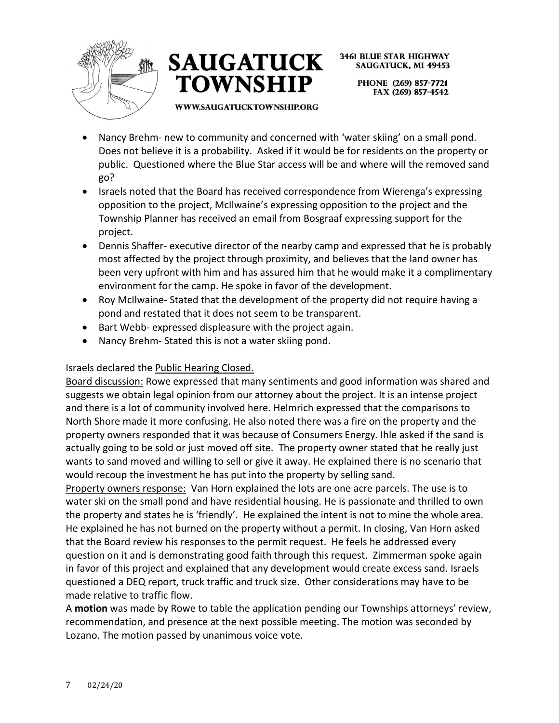



> PHONE (269) 857-7721 FAX (269) 857-4542

**WWW.SAUGATUCKTOWNSHIP.ORG** 

- Nancy Brehm- new to community and concerned with 'water skiing' on a small pond. Does not believe it is a probability. Asked if it would be for residents on the property or public. Questioned where the Blue Star access will be and where will the removed sand go?
- Israels noted that the Board has received correspondence from Wierenga's expressing opposition to the project, McIlwaine's expressing opposition to the project and the Township Planner has received an email from Bosgraaf expressing support for the project.
- Dennis Shaffer- executive director of the nearby camp and expressed that he is probably most affected by the project through proximity, and believes that the land owner has been very upfront with him and has assured him that he would make it a complimentary environment for the camp. He spoke in favor of the development.
- Roy McIlwaine- Stated that the development of the property did not require having a pond and restated that it does not seem to be transparent.
- Bart Webb- expressed displeasure with the project again.
- Nancy Brehm- Stated this is not a water skiing pond.

## Israels declared the Public Hearing Closed.

Board discussion: Rowe expressed that many sentiments and good information was shared and suggests we obtain legal opinion from our attorney about the project. It is an intense project and there is a lot of community involved here. Helmrich expressed that the comparisons to North Shore made it more confusing. He also noted there was a fire on the property and the property owners responded that it was because of Consumers Energy. Ihle asked if the sand is actually going to be sold or just moved off site. The property owner stated that he really just wants to sand moved and willing to sell or give it away. He explained there is no scenario that would recoup the investment he has put into the property by selling sand.

Property owners response: Van Horn explained the lots are one acre parcels. The use is to water ski on the small pond and have residential housing. He is passionate and thrilled to own the property and states he is 'friendly'. He explained the intent is not to mine the whole area. He explained he has not burned on the property without a permit. In closing, Van Horn asked that the Board review his responses to the permit request. He feels he addressed every question on it and is demonstrating good faith through this request. Zimmerman spoke again in favor of this project and explained that any development would create excess sand. Israels questioned a DEQ report, truck traffic and truck size. Other considerations may have to be made relative to traffic flow.

A **motion** was made by Rowe to table the application pending our Townships attorneys' review, recommendation, and presence at the next possible meeting. The motion was seconded by Lozano. The motion passed by unanimous voice vote.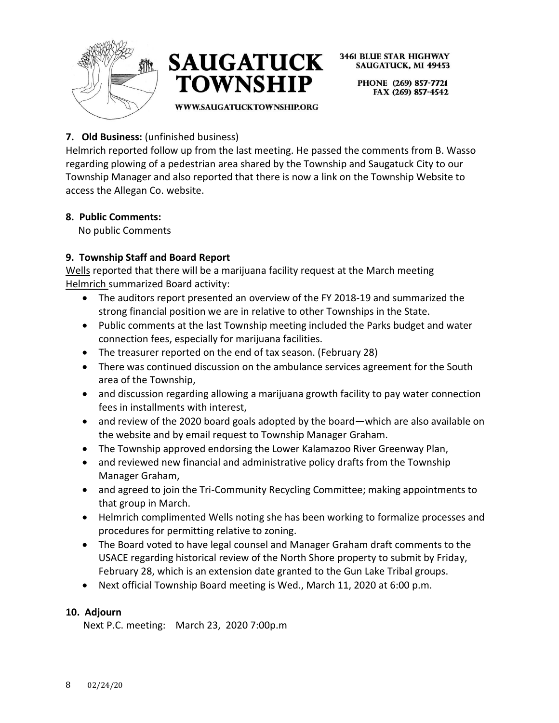



> PHONE (269) 857-7721 FAX (269) 857-4542

WWW.SAUGATUCKTOWNSHIP.ORG

## **7. Old Business:** (unfinished business)

Helmrich reported follow up from the last meeting. He passed the comments from B. Wasso regarding plowing of a pedestrian area shared by the Township and Saugatuck City to our Township Manager and also reported that there is now a link on the Township Website to access the Allegan Co. website.

#### **8. Public Comments:**

No public Comments

## **9. Township Staff and Board Report**

Wells reported that there will be a marijuana facility request at the March meeting Helmrich summarized Board activity:

- The auditors report presented an overview of the FY 2018-19 and summarized the strong financial position we are in relative to other Townships in the State.
- Public comments at the last Township meeting included the Parks budget and water connection fees, especially for marijuana facilities.
- The treasurer reported on the end of tax season. (February 28)
- There was continued discussion on the ambulance services agreement for the South area of the Township,
- and discussion regarding allowing a marijuana growth facility to pay water connection fees in installments with interest,
- and review of the 2020 board goals adopted by the board—which are also available on the website and by email request to Township Manager Graham.
- The Township approved endorsing the Lower Kalamazoo River Greenway Plan,
- and reviewed new financial and administrative policy drafts from the Township Manager Graham,
- and agreed to join the Tri-Community Recycling Committee; making appointments to that group in March.
- Helmrich complimented Wells noting she has been working to formalize processes and procedures for permitting relative to zoning.
- The Board voted to have legal counsel and Manager Graham draft comments to the USACE regarding historical review of the North Shore property to submit by Friday, February 28, which is an extension date granted to the Gun Lake Tribal groups.
- Next official Township Board meeting is Wed., March 11, 2020 at 6:00 p.m.

# **10. Adjourn**

Next P.C. meeting: March 23, 2020 7:00p.m